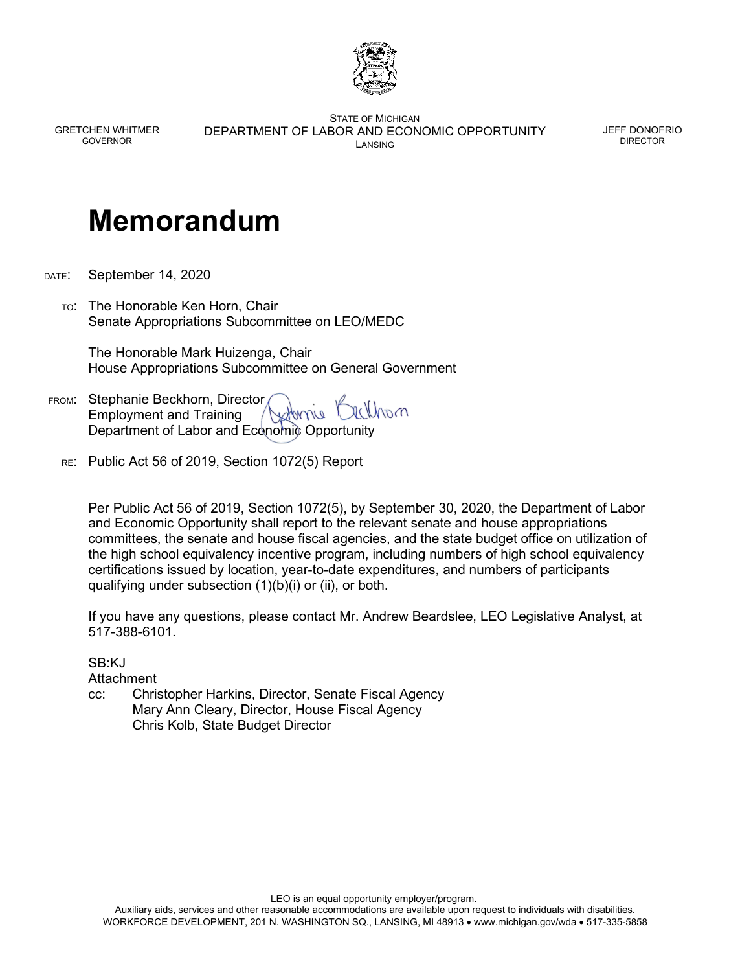

GRETCHEN WHITMER GOVERNOR

STATE OF MICHIGAN DEPARTMENT OF LABOR AND ECONOMIC OPPORTUNITY LANSING

JEFF DONOFRIO DIRECTOR

## **Memorandum**

- DATE: September 14, 2020
	- TO: The Honorable Ken Horn, Chair Senate Appropriations Subcommittee on LEO/MEDC

 The Honorable Mark Huizenga, Chair House Appropriations Subcommittee on General Government

- FROM: Stephanie Beckhorn, Director ranlli Employment and Training Department of Labor and Economic Opportunity
	- RE: Public Act 56 of 2019, Section 1072(5) Report

Per Public Act 56 of 2019, Section 1072(5), by September 30, 2020, the Department of Labor and Economic Opportunity shall report to the relevant senate and house appropriations committees, the senate and house fiscal agencies, and the state budget office on utilization of the high school equivalency incentive program, including numbers of high school equivalency certifications issued by location, year-to-date expenditures, and numbers of participants qualifying under subsection (1)(b)(i) or (ii), or both.

If you have any questions, please contact Mr. Andrew Beardslee, LEO Legislative Analyst, at 517-388-6101.

SB:KJ

Attachment

cc: Christopher Harkins, Director, Senate Fiscal Agency Mary Ann Cleary, Director, House Fiscal Agency Chris Kolb, State Budget Director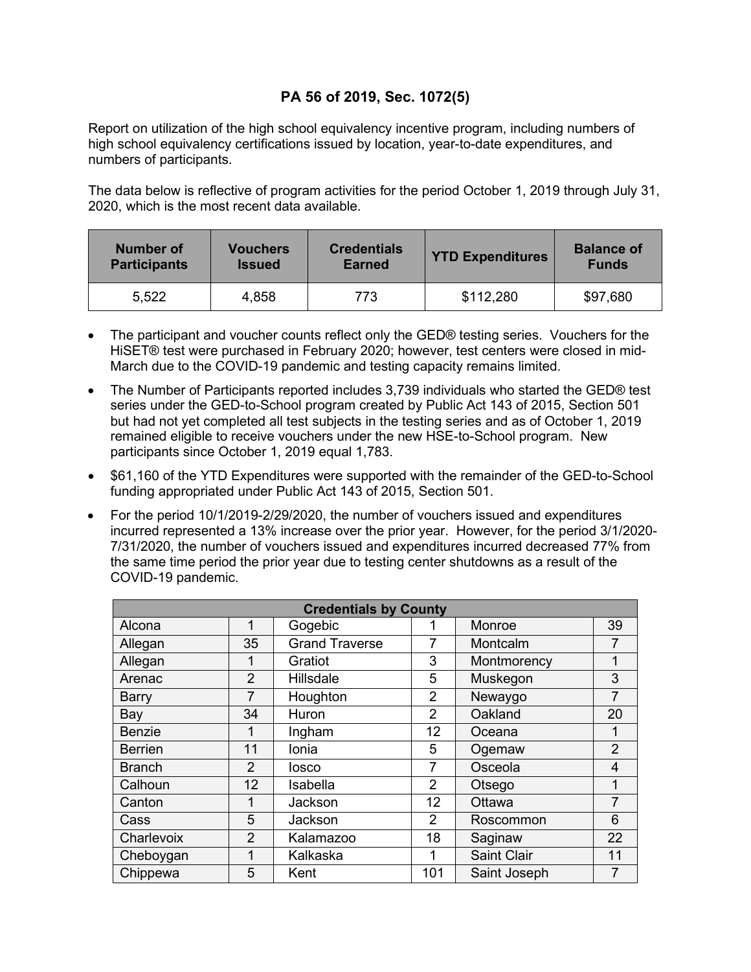## **PA 56 of 2019, Sec. 1072(5)**

Report on utilization of the high school equivalency incentive program, including numbers of high school equivalency certifications issued by location, year-to-date expenditures, and numbers of participants.

The data below is reflective of program activities for the period October 1, 2019 through July 31, 2020, which is the most recent data available.

| Number of           | <b>Vouchers</b> | <b>Credentials</b> | <b>YTD Expenditures</b> | <b>Balance of</b> |  |
|---------------------|-----------------|--------------------|-------------------------|-------------------|--|
| <b>Participants</b> | <b>Issued</b>   | <b>Earned</b>      |                         | <b>Funds</b>      |  |
| 5,522               | 4,858           | 773                | \$112,280               | \$97,680          |  |

- The participant and voucher counts reflect only the GED® testing series. Vouchers for the HiSET® test were purchased in February 2020; however, test centers were closed in mid-March due to the COVID-19 pandemic and testing capacity remains limited.
- The Number of Participants reported includes 3,739 individuals who started the GED® test series under the GED-to-School program created by Public Act 143 of 2015, Section 501 but had not yet completed all test subjects in the testing series and as of October 1, 2019 remained eligible to receive vouchers under the new HSE-to-School program. New participants since October 1, 2019 equal 1,783.
- \$61,160 of the YTD Expenditures were supported with the remainder of the GED-to-School funding appropriated under Public Act 143 of 2015, Section 501.
- For the period 10/1/2019-2/29/2020, the number of vouchers issued and expenditures incurred represented a 13% increase over the prior year. However, for the period 3/1/2020- 7/31/2020, the number of vouchers issued and expenditures incurred decreased 77% from the same time period the prior year due to testing center shutdowns as a result of the COVID-19 pandemic.

| <b>Credentials by County</b> |                |                       |                 |                    |                |  |  |  |
|------------------------------|----------------|-----------------------|-----------------|--------------------|----------------|--|--|--|
| Alcona                       | 1              | Gogebic               |                 | Monroe             | 39             |  |  |  |
| Allegan                      | 35             | <b>Grand Traverse</b> | 7               | Montcalm           | 7              |  |  |  |
| Allegan                      | 1              | Gratiot               | 3               | Montmorency        | 1              |  |  |  |
| Arenac                       | $\overline{2}$ | Hillsdale             | 5               | Muskegon           | 3              |  |  |  |
| <b>Barry</b>                 | 7              | Houghton              | $\overline{2}$  | Newaygo            | 7              |  |  |  |
| Bay                          | 34             | Huron                 | $\overline{2}$  | Oakland            | 20             |  |  |  |
| <b>Benzie</b>                | 1              | Ingham                | 12 <sup>2</sup> | Oceana             | 1              |  |  |  |
| <b>Berrien</b>               | 11             | Ionia                 | 5               | Ogemaw             | $\overline{2}$ |  |  |  |
| <b>Branch</b>                | $\mathcal{P}$  | losco                 | $\overline{7}$  | Osceola            | 4              |  |  |  |
| Calhoun                      | 12             | Isabella              | $\overline{2}$  | Otsego             | 1              |  |  |  |
| Canton                       | 1              | Jackson               | 12              | Ottawa             | 7              |  |  |  |
| Cass                         | 5              | Jackson               | 2               | Roscommon          | 6              |  |  |  |
| Charlevoix                   | $\overline{2}$ | Kalamazoo             | 18              | Saginaw            | 22             |  |  |  |
| Cheboygan                    | 1              | Kalkaska              | 1               | <b>Saint Clair</b> | 11             |  |  |  |
| Chippewa                     | 5              | Kent                  | 101             | Saint Joseph       | 7              |  |  |  |